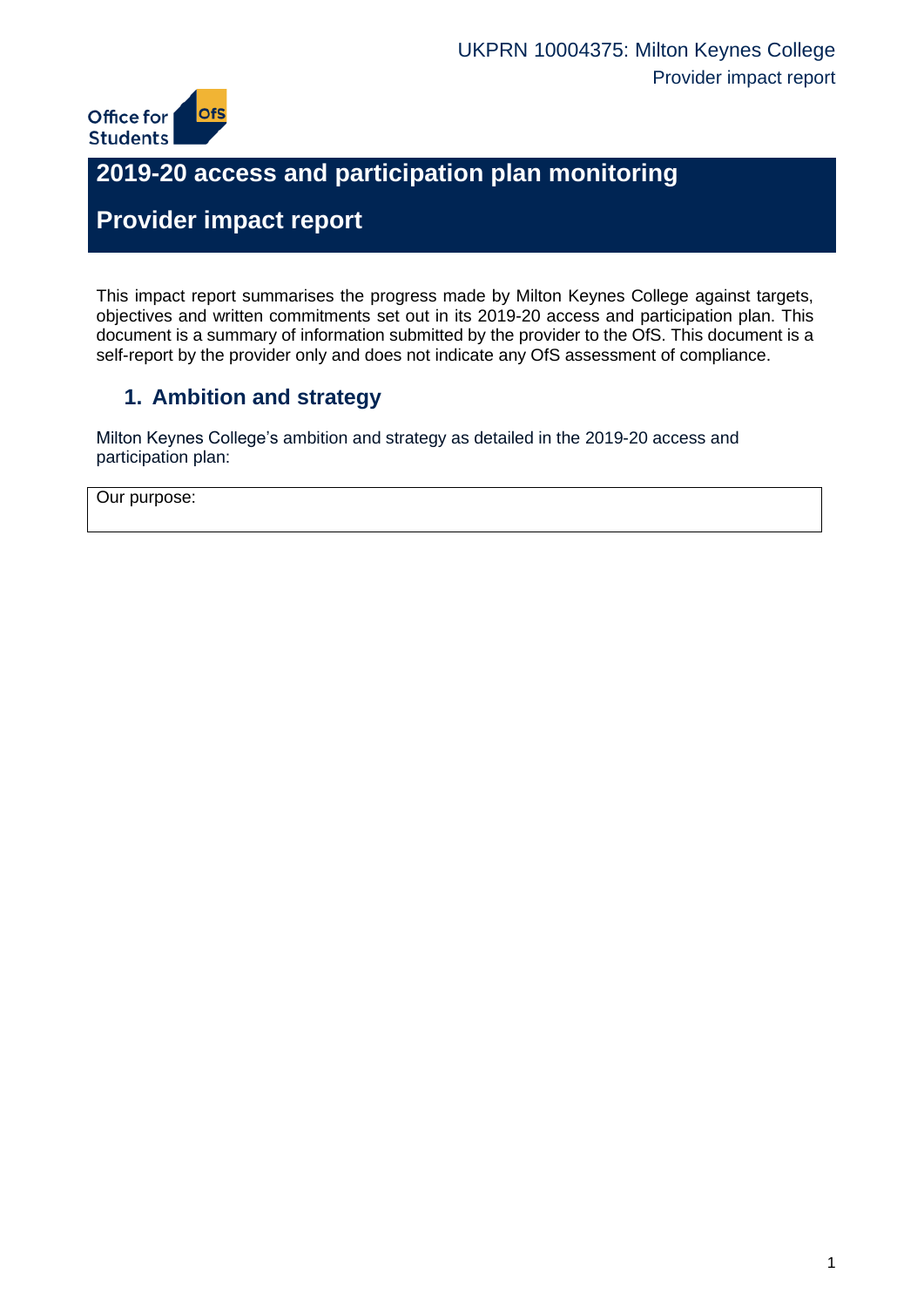

# **2019-20 access and participation plan monitoring**

# **Provider impact report**

This impact report summarises the progress made by Milton Keynes College against targets, objectives and written commitments set out in its 2019-20 access and participation plan. This document is a summary of information submitted by the provider to the OfS. This document is a self-report by the provider only and does not indicate any OfS assessment of compliance.

## **1. Ambition and strategy**

Milton Keynes College's ambition and strategy as detailed in the 2019-20 access and participation plan:

Our purpose: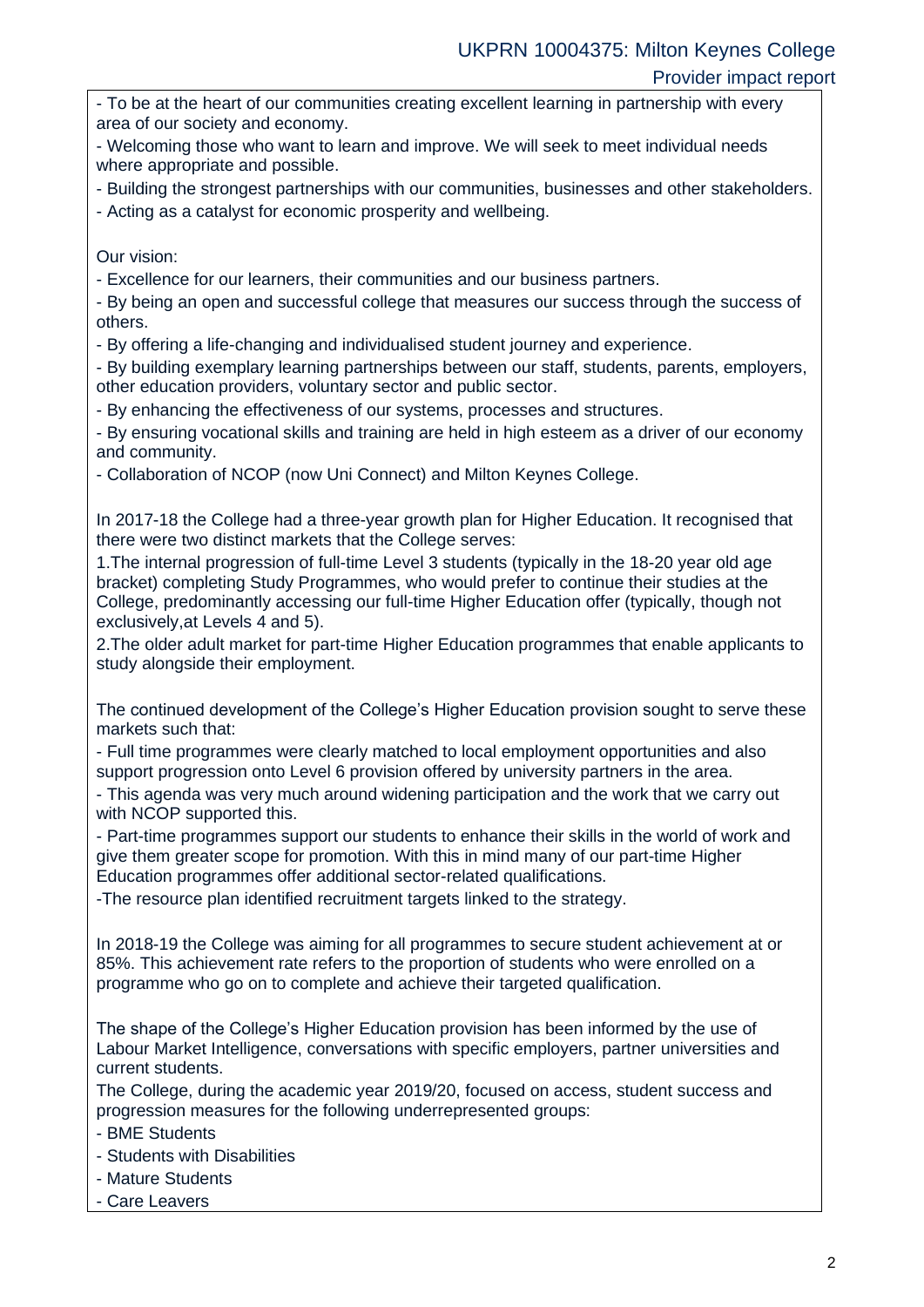- To be at the heart of our communities creating excellent learning in partnership with every area of our society and economy.

- Welcoming those who want to learn and improve. We will seek to meet individual needs where appropriate and possible.

- Building the strongest partnerships with our communities, businesses and other stakeholders.

- Acting as a catalyst for economic prosperity and wellbeing.

Our vision:

- Excellence for our learners, their communities and our business partners.

- By being an open and successful college that measures our success through the success of others.

- By offering a life-changing and individualised student journey and experience.

- By building exemplary learning partnerships between our staff, students, parents, employers, other education providers, voluntary sector and public sector.

- By enhancing the effectiveness of our systems, processes and structures.

- By ensuring vocational skills and training are held in high esteem as a driver of our economy and community.

- Collaboration of NCOP (now Uni Connect) and Milton Keynes College.

In 2017-18 the College had a three-year growth plan for Higher Education. It recognised that there were two distinct markets that the College serves:

1.The internal progression of full-time Level 3 students (typically in the 18-20 year old age bracket) completing Study Programmes, who would prefer to continue their studies at the College, predominantly accessing our full-time Higher Education offer (typically, though not exclusively,at Levels 4 and 5).

2.The older adult market for part-time Higher Education programmes that enable applicants to study alongside their employment.

The continued development of the College's Higher Education provision sought to serve these markets such that:

- Full time programmes were clearly matched to local employment opportunities and also support progression onto Level 6 provision offered by university partners in the area.

- This agenda was very much around widening participation and the work that we carry out with NCOP supported this.

- Part-time programmes support our students to enhance their skills in the world of work and give them greater scope for promotion. With this in mind many of our part-time Higher Education programmes offer additional sector-related qualifications.

-The resource plan identified recruitment targets linked to the strategy.

In 2018-19 the College was aiming for all programmes to secure student achievement at or 85%. This achievement rate refers to the proportion of students who were enrolled on a programme who go on to complete and achieve their targeted qualification.

The shape of the College's Higher Education provision has been informed by the use of Labour Market Intelligence, conversations with specific employers, partner universities and current students.

The College, during the academic year 2019/20, focused on access, student success and progression measures for the following underrepresented groups:

- BME Students
- Students with Disabilities
- Mature Students
- Care Leavers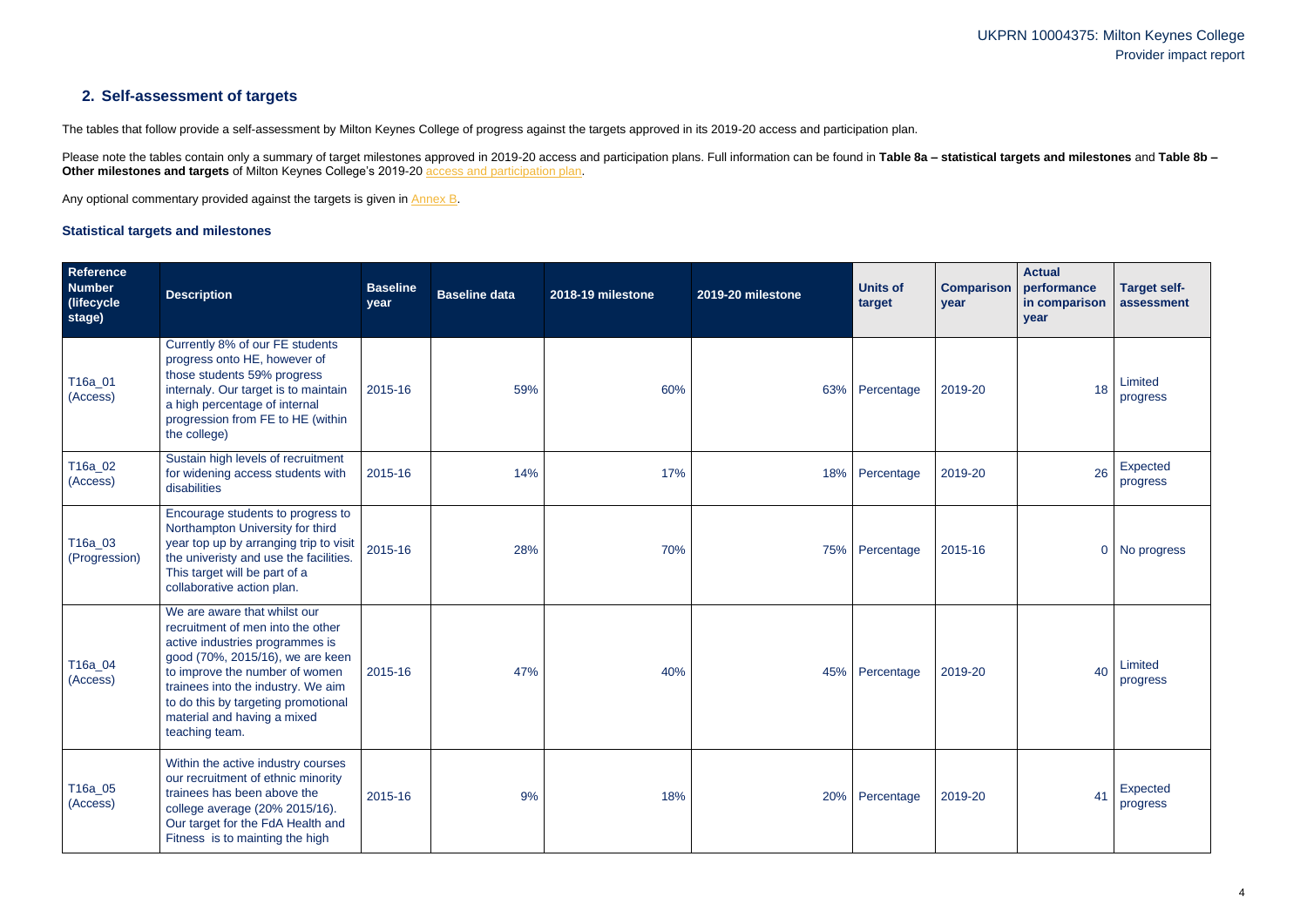## **2. Self-assessment of targets**

The tables that follow provide a self-assessment by Milton Keynes College of progress against the targets approved in its 2019-20 access and participation plan.

Please note the tables contain only a summary of target milestones approved in 2019-20 access and participation plans. Full information can be found in Table 8a - statistical targets and milestones and Table 8b -**Other milestones and targets** of Milton Keynes College's 2019-20 [access and participation plan.](https://www.officeforstudents.org.uk/advice-and-guidance/the-register/search-for-access-and-participation-plans/#/AccessPlans/)

Any optional commentary provided against the targets is given in [Annex B.](#page-14-0)

#### <span id="page-3-0"></span>**Statistical targets and milestones**

| Reference<br><b>Number</b><br>(lifecycle)<br>stage) | <b>Description</b>                                                                                                                                                                                                                                                                                       | <b>Baseline</b><br>year | <b>Baseline data</b> | 2018-19 milestone | 2019-20 milestone | <b>Units of</b><br>target | <b>Comparison</b><br>year | <b>Actual</b><br>performance<br>in comparison<br>year | <b>Target self-</b><br>assessment |
|-----------------------------------------------------|----------------------------------------------------------------------------------------------------------------------------------------------------------------------------------------------------------------------------------------------------------------------------------------------------------|-------------------------|----------------------|-------------------|-------------------|---------------------------|---------------------------|-------------------------------------------------------|-----------------------------------|
| T16a_01<br>(Access)                                 | Currently 8% of our FE students<br>progress onto HE, however of<br>those students 59% progress<br>internaly. Our target is to maintain<br>a high percentage of internal<br>progression from FE to HE (within<br>the college)                                                                             | 2015-16                 | 59%                  | 60%               |                   | 63% Percentage            | 2019-20                   | 18                                                    | Limited<br>progress               |
| T16a_02<br>(Access)                                 | Sustain high levels of recruitment<br>for widening access students with<br>disabilities                                                                                                                                                                                                                  | 2015-16                 | 14%                  | 17%               |                   | 18% Percentage            | 2019-20                   | 26                                                    | Expected<br>progress              |
| T16a_03<br>(Progression)                            | Encourage students to progress to<br>Northampton University for third<br>year top up by arranging trip to visit<br>the univeristy and use the facilities.<br>This target will be part of a<br>collaborative action plan.                                                                                 | 2015-16                 | 28%                  | 70%               |                   | 75% Percentage            | 2015-16                   |                                                       | 0 No progress                     |
| T16a_04<br>(Access)                                 | We are aware that whilst our<br>recruitment of men into the other<br>active industries programmes is<br>good (70%, 2015/16), we are keen<br>to improve the number of women<br>trainees into the industry. We aim<br>to do this by targeting promotional<br>material and having a mixed<br>teaching team. | 2015-16                 | 47%                  | 40%               | 45%               | Percentage                | 2019-20                   | 40                                                    | Limited<br>progress               |
| T16a_05<br>(Access)                                 | Within the active industry courses<br>our recruitment of ethnic minority<br>trainees has been above the<br>college average (20% 2015/16).<br>Our target for the FdA Health and<br>Fitness is to mainting the high                                                                                        | 2015-16                 | 9%                   | 18%               |                   | 20% Percentage            | 2019-20                   | 41                                                    | Expected<br>progress              |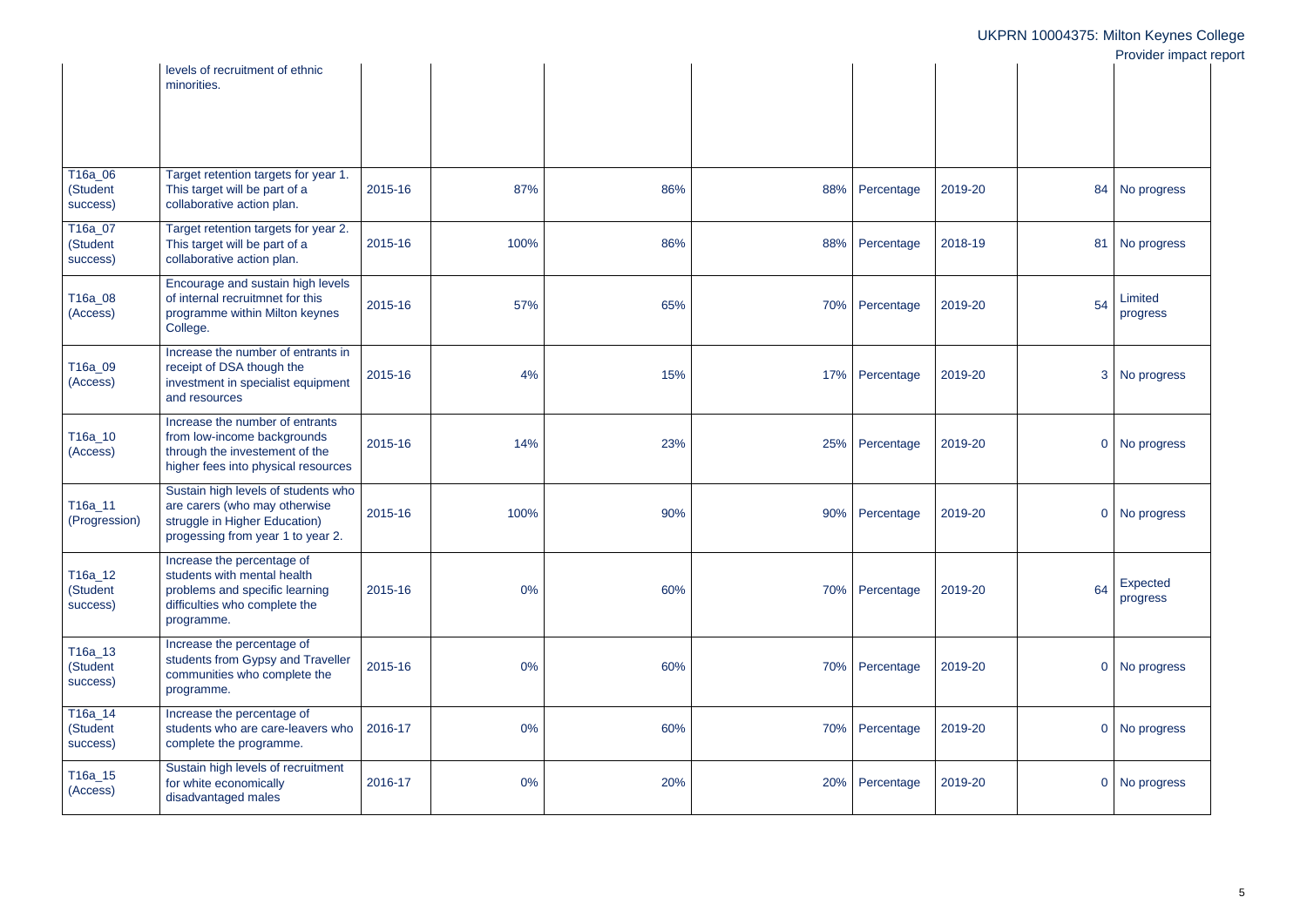|                                    |                                                                                                                                            |         |      |     |     |            |                           | <b>I</b> TUVIUCI IIIIPAULI |
|------------------------------------|--------------------------------------------------------------------------------------------------------------------------------------------|---------|------|-----|-----|------------|---------------------------|----------------------------|
|                                    | levels of recruitment of ethnic<br>minorities.                                                                                             |         |      |     |     |            |                           |                            |
|                                    |                                                                                                                                            |         |      |     |     |            |                           |                            |
| T16a_06<br>(Student<br>success)    | Target retention targets for year 1.<br>This target will be part of a<br>collaborative action plan.                                        | 2015-16 | 87%  | 86% | 88% | Percentage | 2019-20                   | 84 No progress             |
| T16a_07<br>(Student<br>success)    | Target retention targets for year 2.<br>This target will be part of a<br>collaborative action plan.                                        | 2015-16 | 100% | 86% | 88% | Percentage | 2018-19<br>81             | No progress                |
| T16a_08<br>(Access)                | Encourage and sustain high levels<br>of internal recruitmnet for this<br>programme within Milton keynes<br>College.                        | 2015-16 | 57%  | 65% | 70% | Percentage | 54<br>2019-20             | Limited<br>progress        |
| T16a_09<br>(Access)                | Increase the number of entrants in<br>receipt of DSA though the<br>investment in specialist equipment<br>and resources                     | 2015-16 | 4%   | 15% | 17% | Percentage | 2019-20<br>3              | No progress                |
| T16a_10<br>(Access)                | Increase the number of entrants<br>from low-income backgrounds<br>through the investement of the<br>higher fees into physical resources    | 2015-16 | 14%  | 23% | 25% | Percentage | 2019-20                   | 0 No progress              |
| T16a_11<br>(Progression)           | Sustain high levels of students who<br>are carers (who may otherwise<br>struggle in Higher Education)<br>progessing from year 1 to year 2. | 2015-16 | 100% | 90% | 90% | Percentage | 2019-20<br>$\mathbf 0$    | No progress                |
| T16a_12<br>(Student<br>success)    | Increase the percentage of<br>students with mental health<br>problems and specific learning<br>difficulties who complete the<br>programme. | 2015-16 | 0%   | 60% | 70% | Percentage | 64<br>2019-20             | Expected<br>progress       |
| T16a_13<br>(Student<br>success)    | Increase the percentage of<br>students from Gypsy and Traveller<br>communities who complete the<br>programme.                              | 2015-16 | 0%   | 60% | 70% | Percentage | 2019-20<br>$\overline{0}$ | No progress                |
| $T16a_114$<br>(Student<br>success) | Increase the percentage of<br>students who are care-leavers who<br>complete the programme.                                                 | 2016-17 | 0%   | 60% | 70% | Percentage | 2019-20                   | 0 No progress              |
| T16a_15<br>(Access)                | Sustain high levels of recruitment<br>for white economically<br>disadvantaged males                                                        | 2016-17 | 0%   | 20% | 20% | Percentage | 2019-20<br>$\overline{0}$ | No progress                |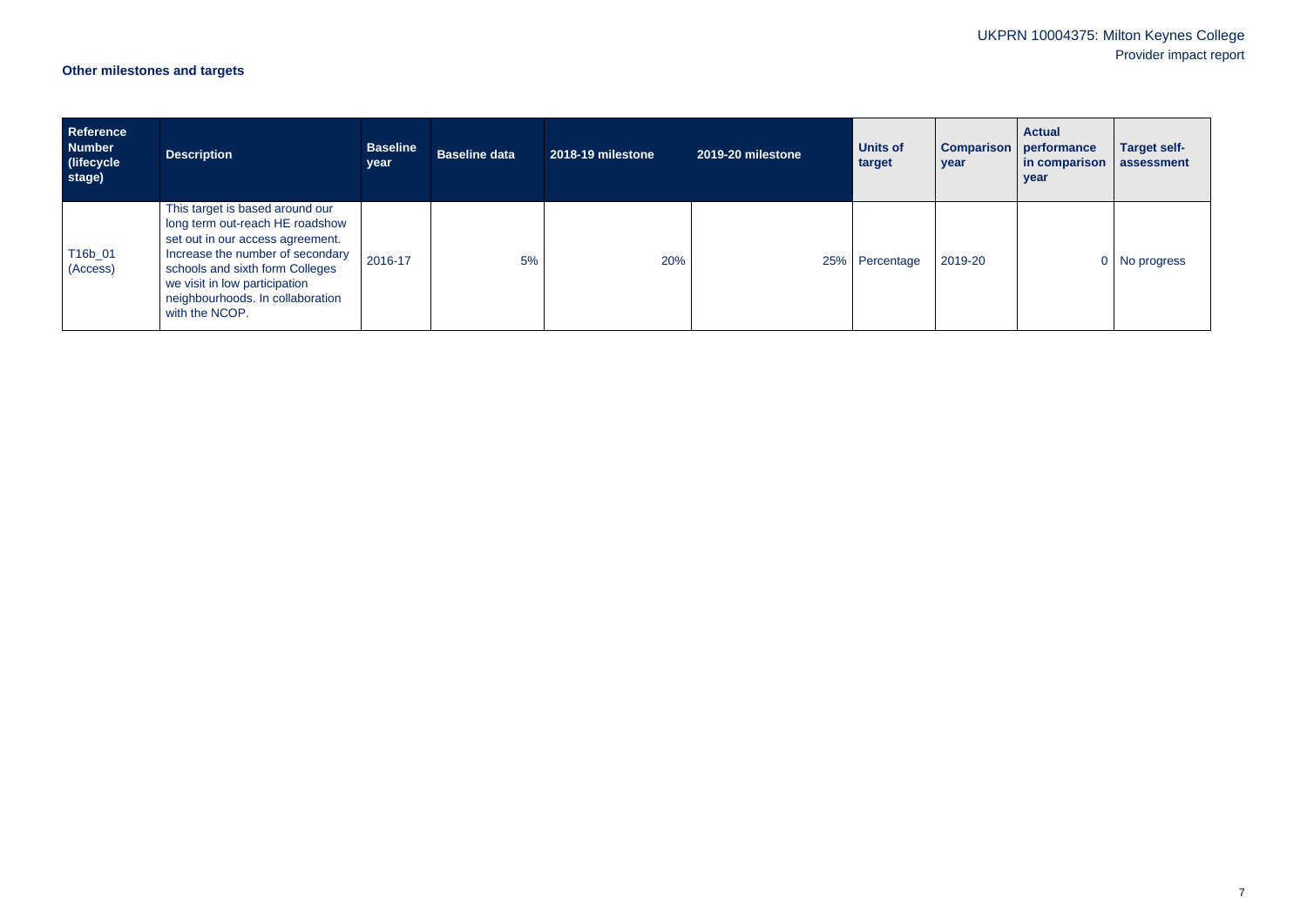# **Other milestones and targets**

| <b>Reference</b><br><b>Number</b><br>(lifecycle<br>stage) | <b>Description</b>                                                                                                                                                                                                                                                   | <b>Baseline</b><br>year | <b>Baseline data</b> | 2018-19 milestone | 2019-20 milestone | <b>Units of</b><br>target | <b>Comparison</b><br>year | <b>Actual</b><br>performance<br>in comparison<br>year | <b>Target self-</b><br>assessment |
|-----------------------------------------------------------|----------------------------------------------------------------------------------------------------------------------------------------------------------------------------------------------------------------------------------------------------------------------|-------------------------|----------------------|-------------------|-------------------|---------------------------|---------------------------|-------------------------------------------------------|-----------------------------------|
| T16b_01<br>(Access)                                       | This target is based around our<br>long term out-reach HE roadshow<br>set out in our access agreement.<br>Increase the number of secondary<br>schools and sixth form Colleges<br>we visit in low participation<br>neighbourhoods. In collaboration<br>with the NCOP. | 2016-17                 | 5%                   | 20%               | 25%               | Percentage                | 2019-20                   |                                                       | No progress                       |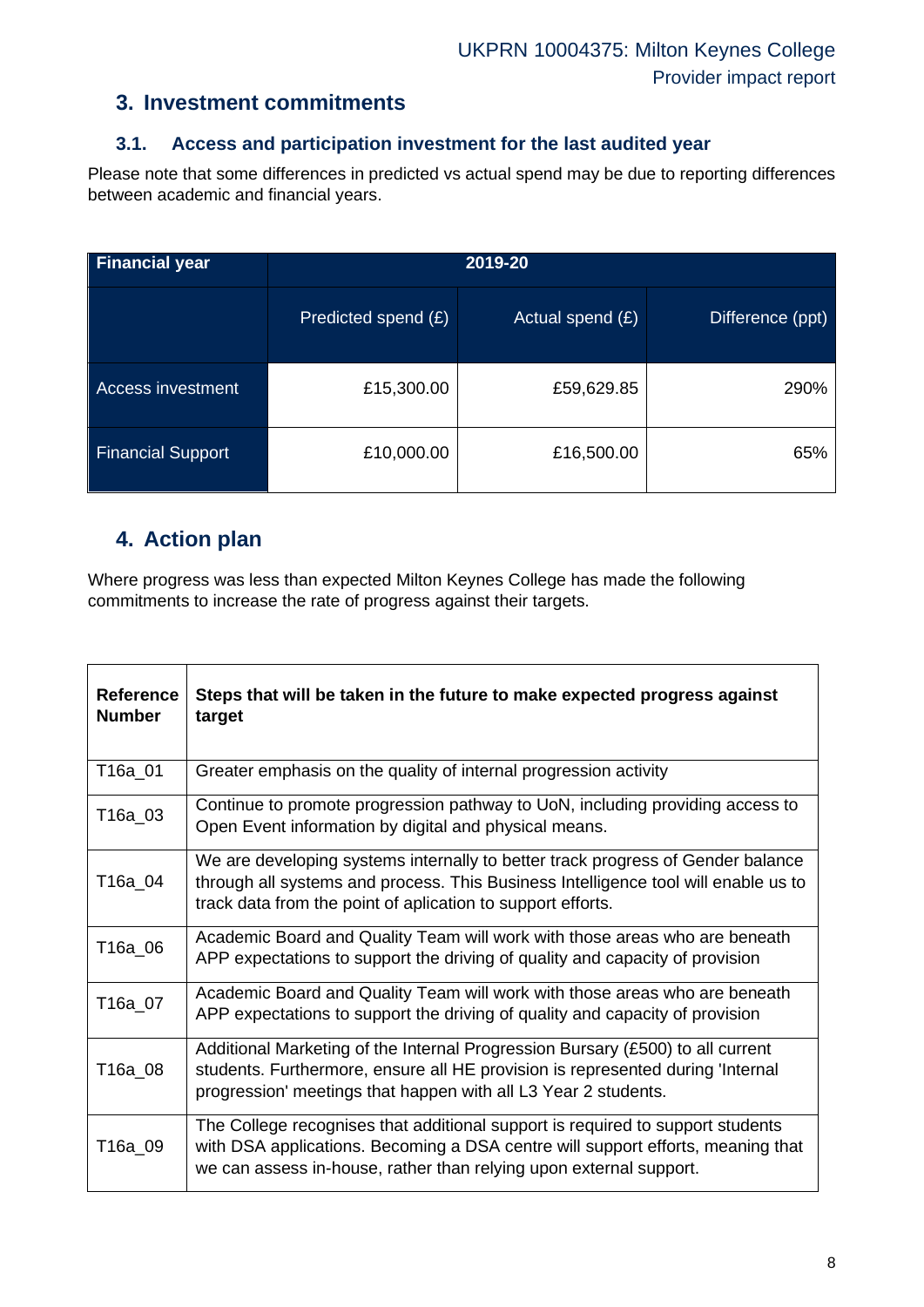### **3. Investment commitments**

### **3.1. Access and participation investment for the last audited year**

Please note that some differences in predicted vs actual spend may be due to reporting differences between academic and financial years.

| <b>Financial year</b>    | 2019-20             |                  |                  |  |  |
|--------------------------|---------------------|------------------|------------------|--|--|
|                          | Predicted spend (£) | Actual spend (£) | Difference (ppt) |  |  |
| <b>Access investment</b> | £15,300.00          | £59,629.85       | 290%             |  |  |
| <b>Financial Support</b> | £10,000.00          | £16,500.00       | 65%              |  |  |

### **4. Action plan**

Where progress was less than expected Milton Keynes College has made the following commitments to increase the rate of progress against their targets.

| <b>Reference</b><br><b>Number</b> | Steps that will be taken in the future to make expected progress against<br>target                                                                                                                                                      |
|-----------------------------------|-----------------------------------------------------------------------------------------------------------------------------------------------------------------------------------------------------------------------------------------|
| T16a_01                           | Greater emphasis on the quality of internal progression activity                                                                                                                                                                        |
| T16a_03                           | Continue to promote progression pathway to UoN, including providing access to<br>Open Event information by digital and physical means.                                                                                                  |
| T16a 04                           | We are developing systems internally to better track progress of Gender balance<br>through all systems and process. This Business Intelligence tool will enable us to<br>track data from the point of aplication to support efforts.    |
| T16a_06                           | Academic Board and Quality Team will work with those areas who are beneath<br>APP expectations to support the driving of quality and capacity of provision                                                                              |
| T16a_07                           | Academic Board and Quality Team will work with those areas who are beneath<br>APP expectations to support the driving of quality and capacity of provision                                                                              |
| T16a_08                           | Additional Marketing of the Internal Progression Bursary (£500) to all current<br>students. Furthermore, ensure all HE provision is represented during 'Internal<br>progression' meetings that happen with all L3 Year 2 students.      |
| T16a 09                           | The College recognises that additional support is required to support students<br>with DSA applications. Becoming a DSA centre will support efforts, meaning that<br>we can assess in-house, rather than relying upon external support. |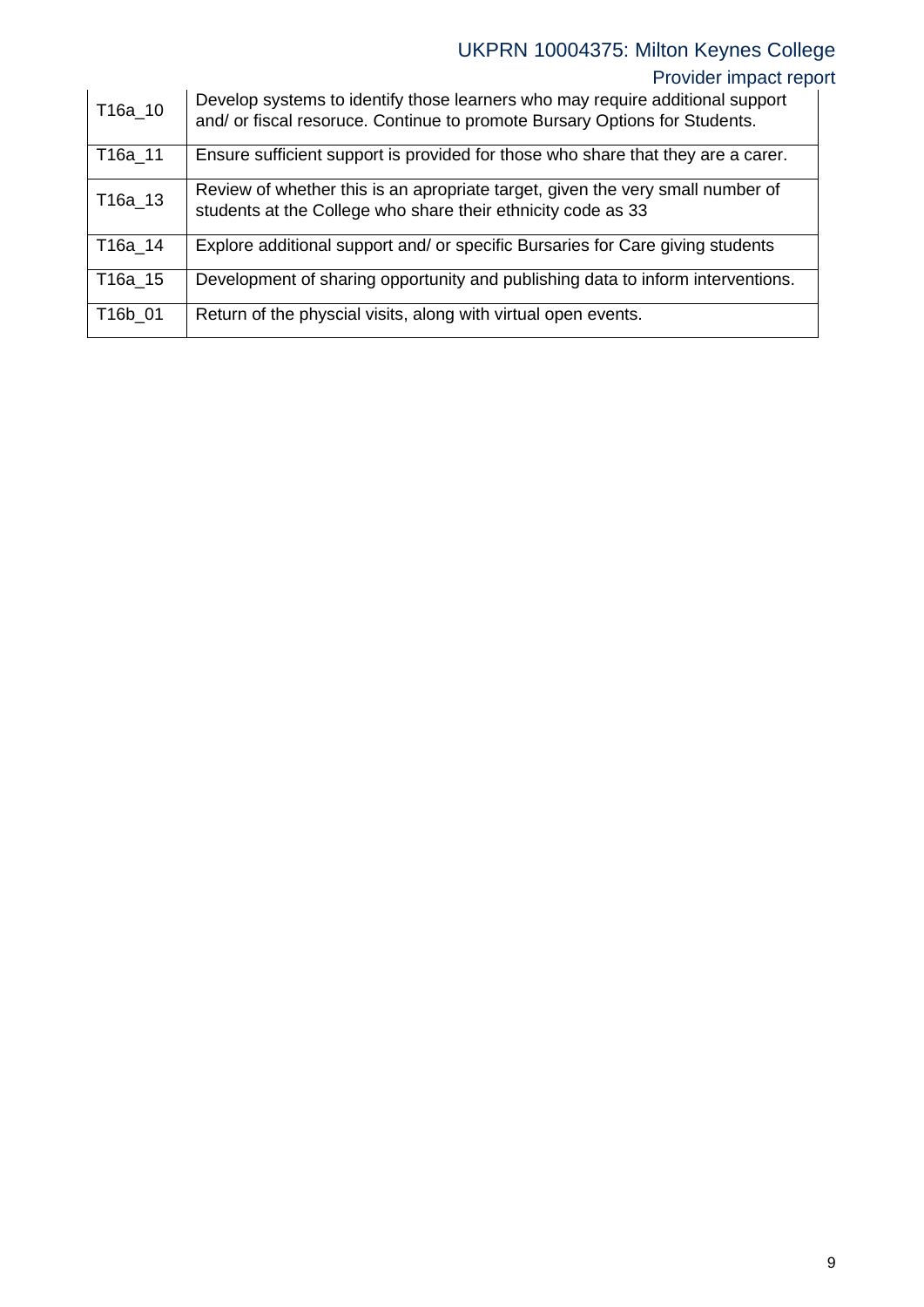# Provider impact report

| T16a_10 | Develop systems to identify those learners who may require additional support<br>and/ or fiscal resoruce. Continue to promote Bursary Options for Students. |
|---------|-------------------------------------------------------------------------------------------------------------------------------------------------------------|
| T16a_11 | Ensure sufficient support is provided for those who share that they are a carer.                                                                            |
| T16a_13 | Review of whether this is an apropriate target, given the very small number of<br>students at the College who share their ethnicity code as 33              |
| T16a 14 | Explore additional support and/ or specific Bursaries for Care giving students                                                                              |
| T16a_15 | Development of sharing opportunity and publishing data to inform interventions.                                                                             |
| T16b 01 | Return of the physcial visits, along with virtual open events.                                                                                              |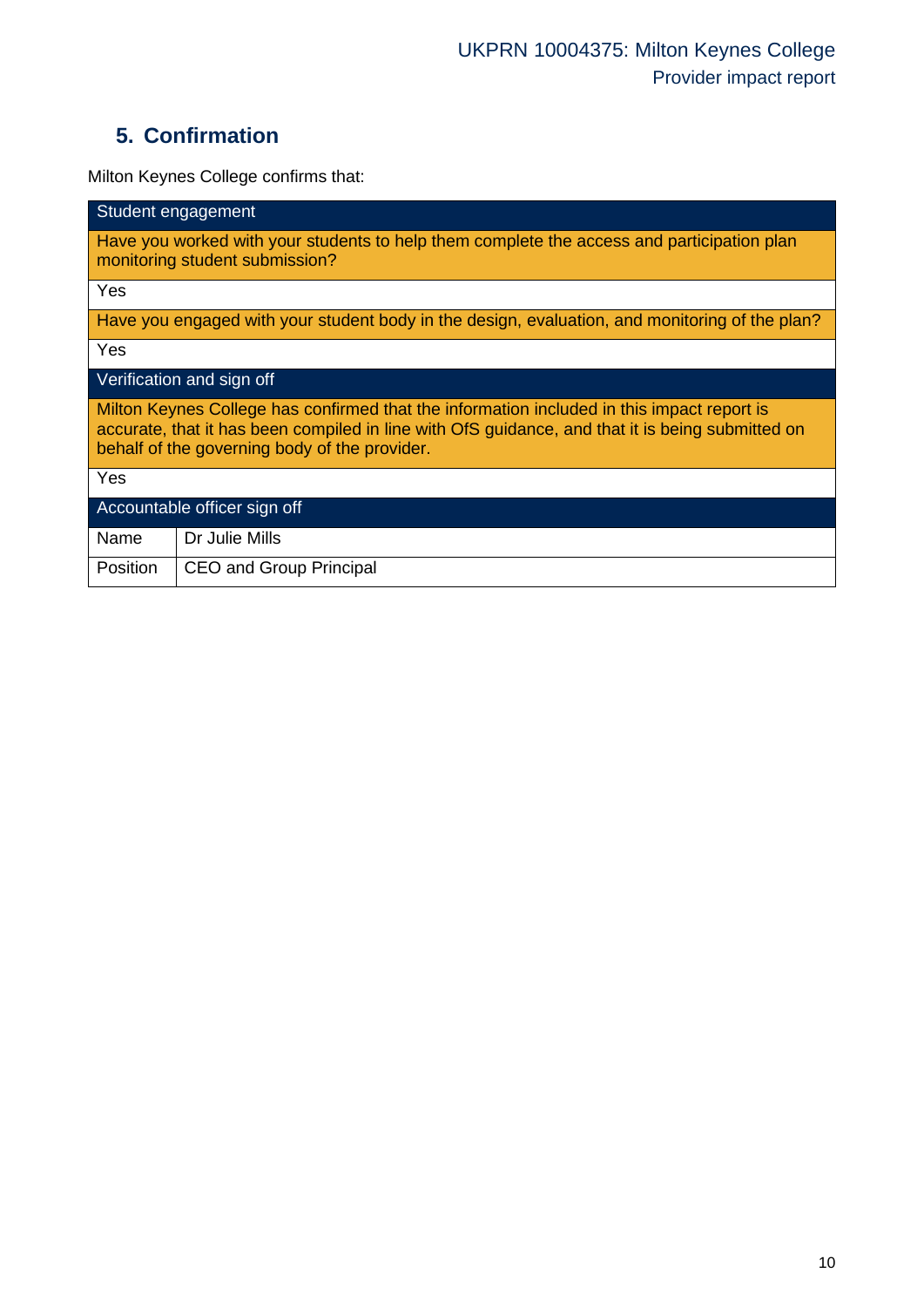# **5. Confirmation**

Milton Keynes College confirms that:

| Student engagement                                                                                                                                                                                                                              |  |  |  |  |
|-------------------------------------------------------------------------------------------------------------------------------------------------------------------------------------------------------------------------------------------------|--|--|--|--|
| Have you worked with your students to help them complete the access and participation plan<br>monitoring student submission?                                                                                                                    |  |  |  |  |
| Yes                                                                                                                                                                                                                                             |  |  |  |  |
| Have you engaged with your student body in the design, evaluation, and monitoring of the plan?                                                                                                                                                  |  |  |  |  |
| Yes                                                                                                                                                                                                                                             |  |  |  |  |
| Verification and sign off                                                                                                                                                                                                                       |  |  |  |  |
| Milton Keynes College has confirmed that the information included in this impact report is<br>accurate, that it has been compiled in line with OfS guidance, and that it is being submitted on<br>behalf of the governing body of the provider. |  |  |  |  |
| Yes                                                                                                                                                                                                                                             |  |  |  |  |
| Accountable officer sign off                                                                                                                                                                                                                    |  |  |  |  |
| Name<br>Dr Julie Mills                                                                                                                                                                                                                          |  |  |  |  |
| Position<br>CEO and Group Principal                                                                                                                                                                                                             |  |  |  |  |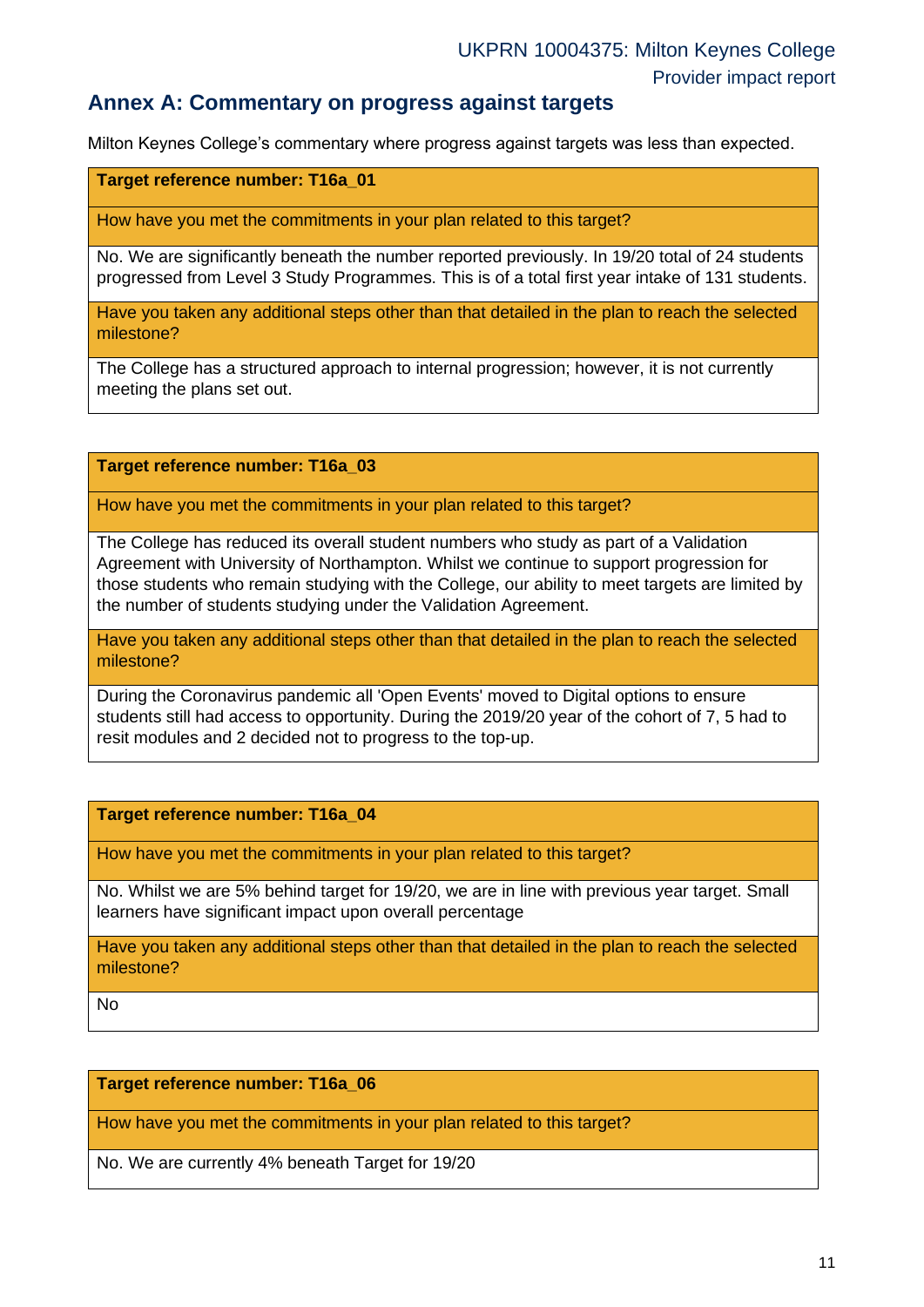### **Annex A: Commentary on progress against targets**

Milton Keynes College's commentary where progress against targets was less than expected.

**Target reference number: T16a\_01**

How have you met the commitments in your plan related to this target?

No. We are significantly beneath the number reported previously. In 19/20 total of 24 students progressed from Level 3 Study Programmes. This is of a total first year intake of 131 students.

Have you taken any additional steps other than that detailed in the plan to reach the selected milestone?

The College has a structured approach to internal progression; however, it is not currently meeting the plans set out.

**Target reference number: T16a\_03**

How have you met the commitments in your plan related to this target?

The College has reduced its overall student numbers who study as part of a Validation Agreement with University of Northampton. Whilst we continue to support progression for those students who remain studying with the College, our ability to meet targets are limited by the number of students studying under the Validation Agreement.

Have you taken any additional steps other than that detailed in the plan to reach the selected milestone?

During the Coronavirus pandemic all 'Open Events' moved to Digital options to ensure students still had access to opportunity. During the 2019/20 year of the cohort of 7, 5 had to resit modules and 2 decided not to progress to the top-up.

**Target reference number: T16a\_04**

How have you met the commitments in your plan related to this target?

No. Whilst we are 5% behind target for 19/20, we are in line with previous year target. Small learners have significant impact upon overall percentage

Have you taken any additional steps other than that detailed in the plan to reach the selected milestone?

No

#### **Target reference number: T16a\_06**

How have you met the commitments in your plan related to this target?

No. We are currently 4% beneath Target for 19/20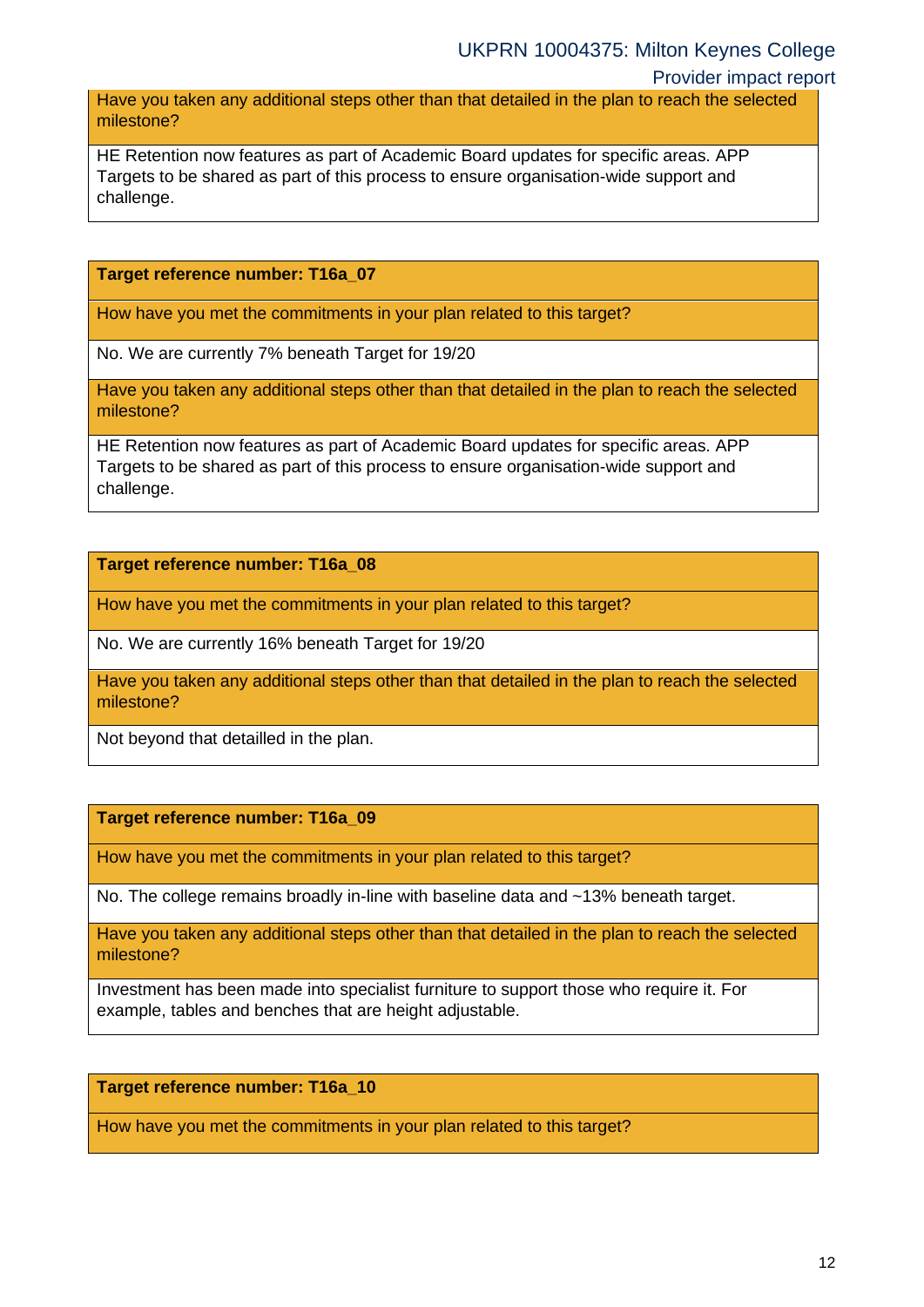#### Provider impact report

Have you taken any additional steps other than that detailed in the plan to reach the selected milestone?

HE Retention now features as part of Academic Board updates for specific areas. APP Targets to be shared as part of this process to ensure organisation-wide support and challenge.

#### **Target reference number: T16a\_07**

How have you met the commitments in your plan related to this target?

No. We are currently 7% beneath Target for 19/20

Have you taken any additional steps other than that detailed in the plan to reach the selected milestone?

HE Retention now features as part of Academic Board updates for specific areas. APP Targets to be shared as part of this process to ensure organisation-wide support and challenge.

**Target reference number: T16a\_08**

How have you met the commitments in your plan related to this target?

No. We are currently 16% beneath Target for 19/20

Have you taken any additional steps other than that detailed in the plan to reach the selected milestone?

Not beyond that detailled in the plan.

#### **Target reference number: T16a\_09**

How have you met the commitments in your plan related to this target?

No. The college remains broadly in-line with baseline data and ~13% beneath target.

Have you taken any additional steps other than that detailed in the plan to reach the selected milestone?

Investment has been made into specialist furniture to support those who require it. For example, tables and benches that are height adjustable.

#### **Target reference number: T16a\_10**

How have you met the commitments in your plan related to this target?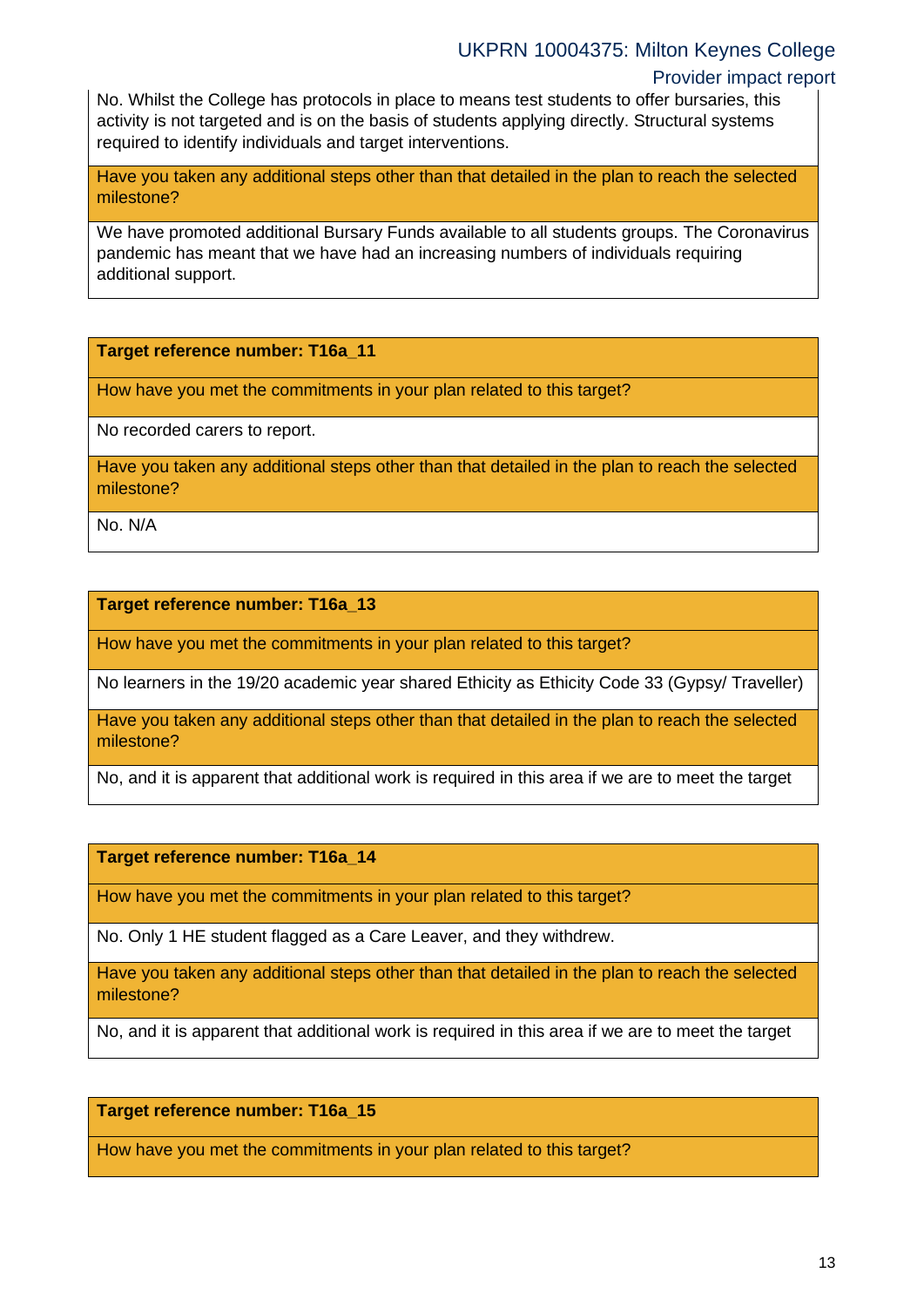### Provider impact report

No. Whilst the College has protocols in place to means test students to offer bursaries, this activity is not targeted and is on the basis of students applying directly. Structural systems required to identify individuals and target interventions.

Have you taken any additional steps other than that detailed in the plan to reach the selected milestone?

We have promoted additional Bursary Funds available to all students groups. The Coronavirus pandemic has meant that we have had an increasing numbers of individuals requiring additional support.

**Target reference number: T16a\_11**

How have you met the commitments in your plan related to this target?

No recorded carers to report.

Have you taken any additional steps other than that detailed in the plan to reach the selected milestone?

No. N/A

#### **Target reference number: T16a\_13**

How have you met the commitments in your plan related to this target?

No learners in the 19/20 academic year shared Ethicity as Ethicity Code 33 (Gypsy/ Traveller)

Have you taken any additional steps other than that detailed in the plan to reach the selected milestone?

No, and it is apparent that additional work is required in this area if we are to meet the target

**Target reference number: T16a\_14**

How have you met the commitments in your plan related to this target?

No. Only 1 HE student flagged as a Care Leaver, and they withdrew.

Have you taken any additional steps other than that detailed in the plan to reach the selected milestone?

No, and it is apparent that additional work is required in this area if we are to meet the target

#### **Target reference number: T16a\_15**

How have you met the commitments in your plan related to this target?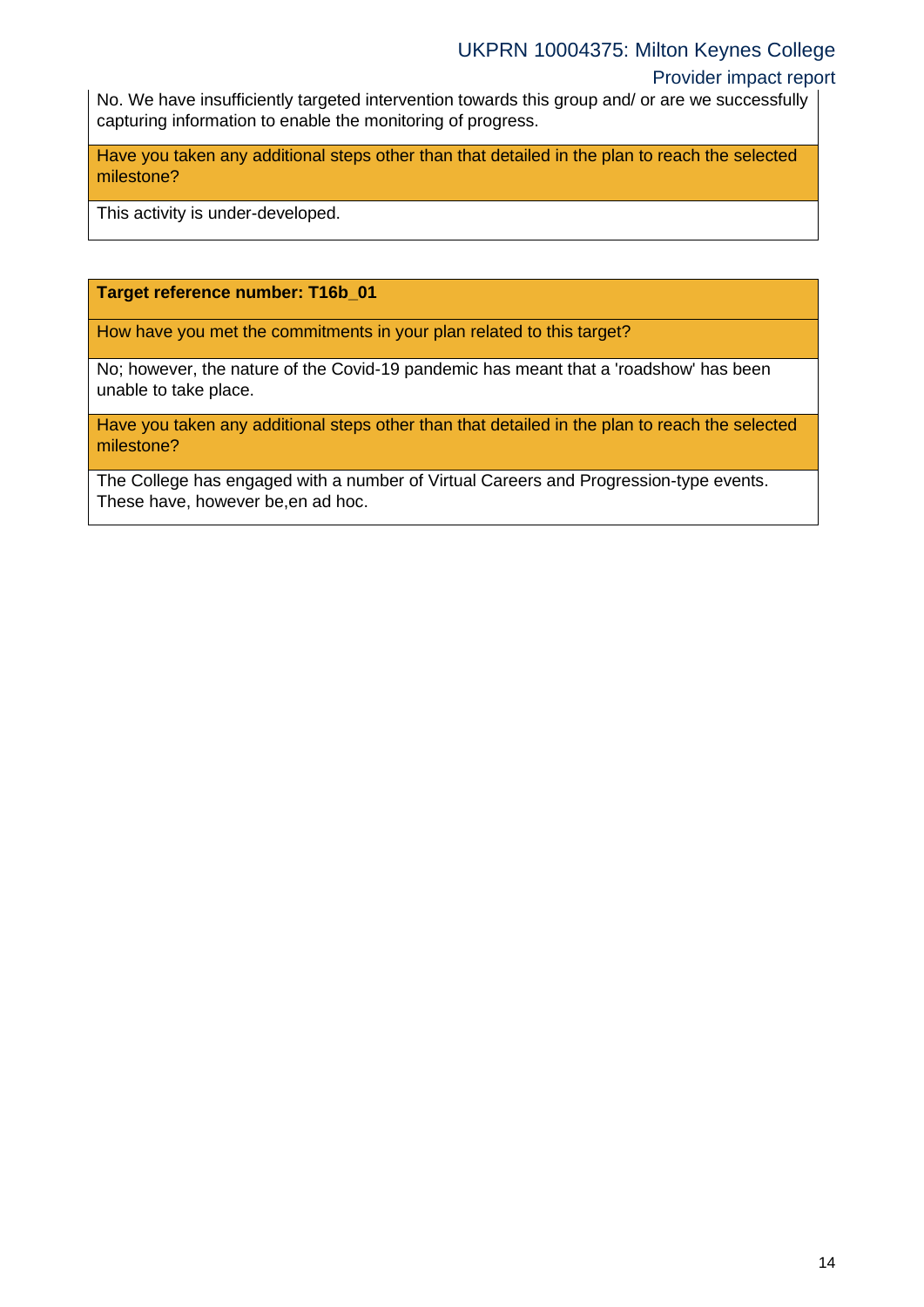### Provider impact report

No. We have insufficiently targeted intervention towards this group and/ or are we successfully capturing information to enable the monitoring of progress.

Have you taken any additional steps other than that detailed in the plan to reach the selected milestone?

This activity is under-developed.

#### **Target reference number: T16b\_01**

How have you met the commitments in your plan related to this target?

No; however, the nature of the Covid-19 pandemic has meant that a 'roadshow' has been unable to take place.

Have you taken any additional steps other than that detailed in the plan to reach the selected milestone?

The College has engaged with a number of Virtual Careers and Progression-type events. These have, however be,en ad hoc.